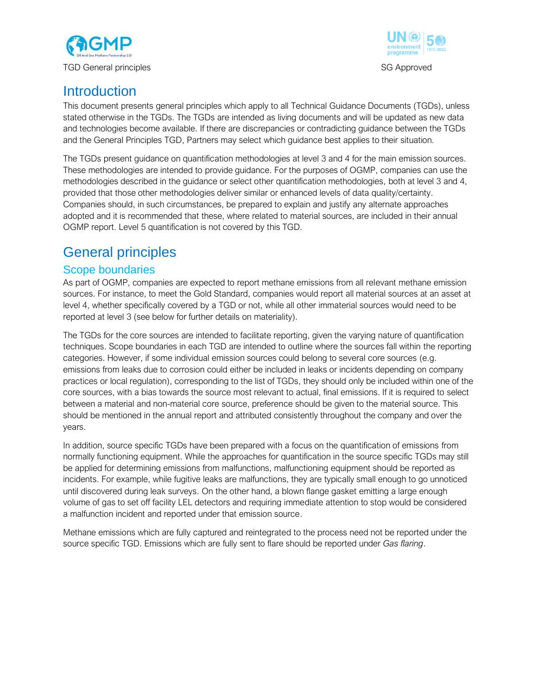



## **Introduction**

This document presents general principles which apply to all Technical Guidance Documents (TGDs), unless stated otherwise in the TGDs. The TGDs are intended as living documents and will be updated as new data and technologies become available. If there are discrepancies or contradicting guidance between the TGDs and the General Principles TGD, Partners may select which guidance best applies to their situation.

The TGDs present guidance on quantification methodologies at level 3 and 4 for the main emission sources. These methodologies are intended to provide guidance. For the purposes of OGMP, companies can use the methodologies described in the guidance or select other quantification methodologies, both at level 3 and 4, provided that those other methodologies deliver similar or enhanced levels of data quality/certainty. Companies should, in such circumstances, be prepared to explain and justify any alternate approaches adopted and it is recommended that these, where related to material sources, are included in their annual OGMP report. Level 5 quantification is not covered by this TGD.

# General principles

## Scope boundaries

As part of OGMP, companies are expected to report methane emissions from all relevant methane emission sources. For instance, to meet the Gold Standard, companies would report all material sources at an asset at level 4, whether specifically covered by a TGD or not, while all other immaterial sources would need to be reported at level 3 (see below for further details on materiality).

The TGDs for the core sources are intended to facilitate reporting, given the varying nature of quantification techniques. Scope boundaries in each TGD are intended to outline where the sources fall within the reporting categories. However, if some individual emission sources could belong to several core sources (e.g. emissions from leaks due to corrosion could either be included in leaks or incidents depending on company practices or local regulation), corresponding to the list of TGDs, they should only be included within one of the core sources, with a bias towards the source most relevant to actual, final emissions. If it is required to select between a material and non-material core source, preference should be given to the material source. This should be mentioned in the annual report and attributed consistently throughout the company and over the years.

In addition, source specific TGDs have been prepared with a focus on the quantification of emissions from normally functioning equipment. While the approaches for quantification in the source specific TGDs may still be applied for determining emissions from malfunctions, malfunctioning equipment should be reported as incidents. For example, while fugitive leaks are malfunctions, they are typically small enough to go unnoticed until discovered during leak surveys. On the other hand, a blown flange gasket emitting a large enough volume of gas to set off facility LEL detectors and requiring immediate attention to stop would be considered a malfunction incident and reported under that emission source.

Methane emissions which are fully captured and reintegrated to the process need not be reported under the source specific TGD. Emissions which are fully sent to flare should be reported under *Gas flaring*.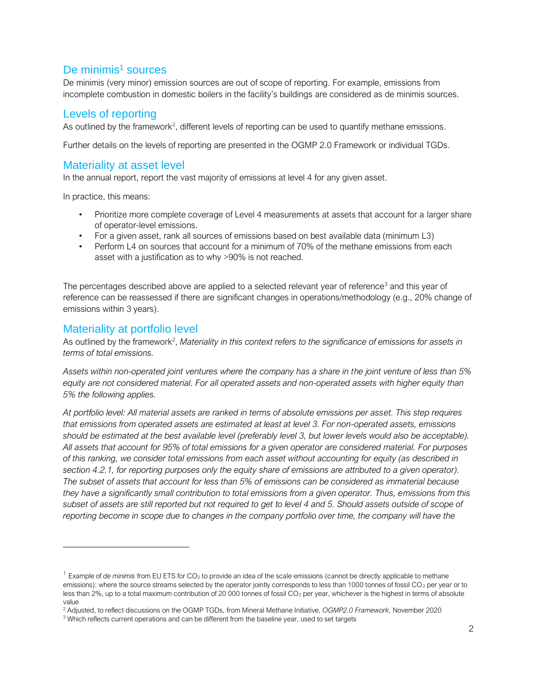## De minimis<sup>1</sup> sources

De minimis (very minor) emission sources are out of scope of reporting. For example, emissions from incomplete combustion in domestic boilers in the facility's buildings are considered as de minimis sources.

#### Levels of reporting

As outlined by the framework<sup>2</sup>, different levels of reporting can be used to quantify methane emissions.

Further details on the levels of reporting are presented in the OGMP 2.0 Framework or individual TGDs.

## Materiality at asset level

In the annual report, report the vast majority of emissions at level 4 for any given asset.

In practice, this means:

- Prioritize more complete coverage of Level 4 measurements at assets that account for a larger share of operator-level emissions.
- For a given asset, rank all sources of emissions based on best available data (minimum L3)
- Perform L4 on sources that account for a minimum of 70% of the methane emissions from each asset with a justification as to why >90% is not reached.

The percentages described above are applied to a selected relevant year of reference<sup>3</sup> and this year of reference can be reassessed if there are significant changes in operations/methodology (e.g., 20% change of emissions within 3 years).

## Materiality at portfolio level

As outlined by the framework<sup>2</sup>, Materiality in this context refers to the significance of emissions for assets in *terms of total emissions.*

*Assets within non-operated joint ventures where the company has a share in the joint venture of less than 5% equity are not considered material. For all operated assets and non-operated assets with higher equity than 5% the following applies.*

*At portfolio level: All material assets are ranked in terms of absolute emissions per asset. This step requires that emissions from operated assets are estimated at least at level 3. For non-operated assets, emissions*  should be estimated at the best available level (preferably level 3, but lower levels would also be acceptable). *All assets that account for 95% of total emissions for a given operator are considered material. For purposes of this ranking, we consider total emissions from each asset without accounting for equity (as described in*  section 4.2.1, for reporting purposes only the equity share of emissions are attributed to a given operator). *The subset of assets that account for less than 5% of emissions can be considered as immaterial because they have a significantly small contribution to total emissions from a given operator. Thus, emissions from this subset of assets are still reported but not required to get to level 4 and 5. Should assets outside of scope of*  reporting become in scope due to changes in the company portfolio over time, the company will have the

<sup>&</sup>lt;sup>1</sup> Example of *de minimis* from EU ETS for CO<sub>2</sub> to provide an idea of the scale emissions (cannot be directly applicable to methane emissions): where the source streams selected by the operator jointly corresponds to less than 1000 tonnes of fossil CO<sub>2</sub> per year or to less than 2%, up to a total maximum contribution of 20 000 tonnes of fossil CO<sub>2</sub> per year, whichever is the highest in terms of absolute value

<sup>2</sup> Adjusted, to reflect discussions on the OGMP TGDs, from Mineral Methane Initiative, *OGMP2.0 Framework,* November 2020

<sup>&</sup>lt;sup>3</sup> Which reflects current operations and can be different from the baseline year, used to set targets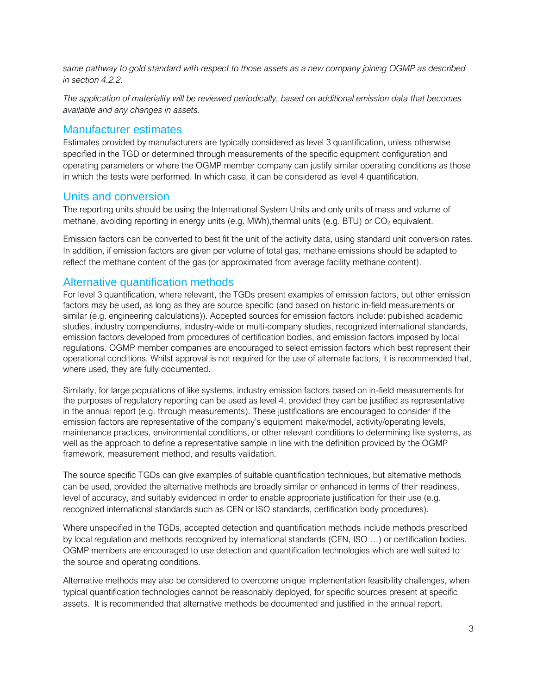*same pathway to gold standard with respect to those assets as a new company joining OGMP as described in section 4.2.2.*

*The application of materiality will be reviewed periodically, based on additional emission data that becomes available and any changes in assets.*

#### Manufacturer estimates

Estimates provided by manufacturers are typically considered as level 3 quantification, unless otherwise specified in the TGD or determined through measurements of the specific equipment configuration and operating parameters or where the OGMP member company can justify similar operating conditions as those in which the tests were performed. In which case, it can be considered as level 4 quantification.

#### Units and conversion

The reporting units should be using the International System Units and only units of mass and volume of methane, avoiding reporting in energy units (e.g. MWh), thermal units (e.g. BTU) or CO<sub>2</sub> equivalent.

Emission factors can be converted to best fit the unit of the activity data, using standard unit conversion rates. In addition, if emission factors are given per volume of total gas, methane emissions should be adapted to reflect the methane content of the gas (or approximated from average facility methane content).

### Alternative quantification methods

For level 3 quantification, where relevant, the TGDs present examples of emission factors, but other emission factors may be used, as long as they are source specific (and based on historic in-field measurements or similar (e.g. engineering calculations)). Accepted sources for emission factors include: published academic studies, industry compendiums, industry-wide or multi-company studies, recognized international standards, emission factors developed from procedures of certification bodies, and emission factors imposed by local regulations. OGMP member companies are encouraged to select emission factors which best represent their operational conditions. Whilst approval is not required for the use of alternate factors, it is recommended that, where used, they are fully documented.

Similarly, for large populations of like systems, industry emission factors based on in-field measurements for the purposes of regulatory reporting can be used as level 4, provided they can be justified as representative in the annual report (e.g. through measurements). These justifications are encouraged to consider if the emission factors are representative of the company's equipment make/model, activity/operating levels, maintenance practices, environmental conditions, or other relevant conditions to determining like systems, as well as the approach to define a representative sample in line with the definition provided by the OGMP framework, measurement method, and results validation.

The source specific TGDs can give examples of suitable quantification techniques, but alternative methods can be used, provided the alternative methods are broadly similar or enhanced in terms of their readiness, level of accuracy, and suitably evidenced in order to enable appropriate justification for their use (e.g. recognized international standards such as CEN or ISO standards, certification body procedures).

Where unspecified in the TGDs, accepted detection and quantification methods include methods prescribed by local regulation and methods recognized by international standards (CEN, ISO …) or certification bodies. OGMP members are encouraged to use detection and quantification technologies which are well suited to the source and operating conditions.

Alternative methods may also be considered to overcome unique implementation feasibility challenges, when typical quantification technologies cannot be reasonably deployed, for specific sources present at specific assets. It is recommended that alternative methods be documented and justified in the annual report.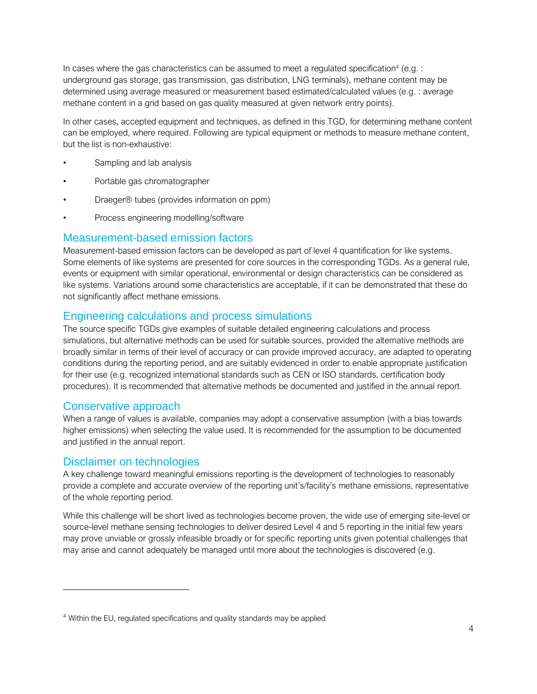In cases where the gas characteristics can be assumed to meet a regulated specification<sup>4</sup> (e.g. : underground gas storage, gas transmission, gas distribution, LNG terminals), methane content may be determined using average measured or measurement based estimated/calculated values (e.g. : average methane content in a grid based on gas quality measured at given network entry points).

In other cases, accepted equipment and techniques, as defined in this TGD, for determining methane content can be employed, where required. Following are typical equipment or methods to measure methane content, but the list is non-exhaustive:

- Sampling and lab analysis
- Portable gas chromatographer
- Draeger® tubes (provides information on ppm)
- Process engineering modelling/software

#### Measurement-based emission factors

Measurement-based emission factors can be developed as part of level 4 quantification for like systems. Some elements of like systems are presented for core sources in the corresponding TGDs. As a general rule, events or equipment with similar operational, environmental or design characteristics can be considered as like systems. Variations around some characteristics are acceptable, if it can be demonstrated that these do not significantly affect methane emissions.

#### Engineering calculations and process simulations

The source specific TGDs give examples of suitable detailed engineering calculations and process simulations, but alternative methods can be used for suitable sources, provided the alternative methods are broadly similar in terms of their level of accuracy or can provide improved accuracy, are adapted to operating conditions during the reporting period, and are suitably evidenced in order to enable appropriate justification for their use (e.g. recognized international standards such as CEN or ISO standards, certification body procedures). It is recommended that alternative methods be documented and justified in the annual report.

#### Conservative approach

When a range of values is available, companies may adopt a conservative assumption (with a bias towards higher emissions) when selecting the value used. It is recommended for the assumption to be documented and justified in the annual report.

#### Disclaimer on technologies

A key challenge toward meaningful emissions reporting is the development of technologies to reasonably provide a complete and accurate overview of the reporting unit's/facility's methane emissions, representative of the whole reporting period.

While this challenge will be short lived as technologies become proven, the wide use of emerging site-level or source-level methane sensing technologies to deliver desired Level 4 and 5 reporting in the initial few years may prove unviable or grossly infeasible broadly or for specific reporting units given potential challenges that may arise and cannot adequately be managed until more about the technologies is discovered (e.g.

<sup>&</sup>lt;sup>4</sup> Within the EU, regulated specifications and quality standards may be applied